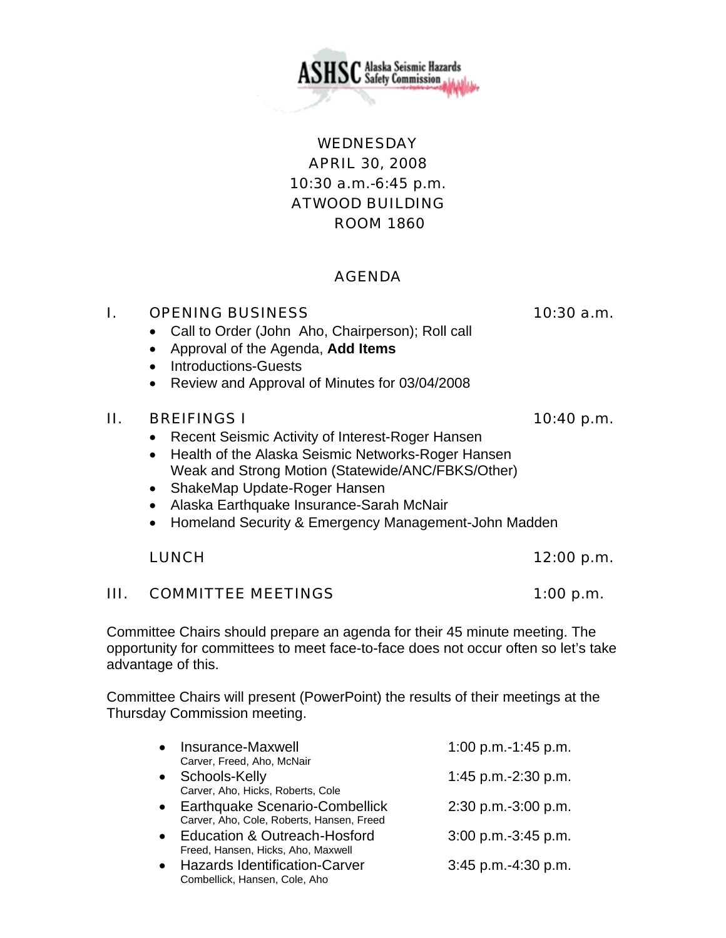

**ISC** Alaska Seismic Hazards<br>**ISC** Safety Commission

## AGENDA

## I. OPENING BUSINESS 10:30 a.m.

- Call to Order (John Aho, Chairperson); Roll call
- Approval of the Agenda, **Add Items**
- Introductions-Guests
- Review and Approval of Minutes for 03/04/2008

### $II.$  BREIFINGS I 10:40 p.m.

- Recent Seismic Activity of Interest-Roger Hansen
- Health of the Alaska Seismic Networks-Roger Hansen Weak and Strong Motion (Statewide/ANC/FBKS/Other)
- ShakeMap Update-Roger Hansen
- Alaska Earthquake Insurance-Sarah McNair
- Homeland Security & Emergency Management-John Madden

## LUNCH 12:00 p.m.

## III. COMMITTEE MEETINGS 1:00 p.m.

Committee Chairs should prepare an agenda for their 45 minute meeting. The opportunity for committees to meet face-to-face does not occur often so let's take advantage of this.

Committee Chairs will present (PowerPoint) the results of their meetings at the Thursday Commission meeting.

| Carver, Freed, Aho, McNair<br>Schools-Kelly<br>$\bullet$                      | 1:45 p.m.-2:30 p.m.   |
|-------------------------------------------------------------------------------|-----------------------|
| Carver, Aho, Hicks, Roberts, Cole                                             |                       |
| • Earthquake Scenario-Combellick<br>Carver, Aho, Cole, Roberts, Hansen, Freed | 2:30 p.m.-3:00 p.m.   |
| <b>Education &amp; Outreach-Hosford</b>                                       | 3:00 p.m.-3:45 p.m.   |
| Freed, Hansen, Hicks, Aho, Maxwell                                            |                       |
| <b>Hazards Identification-Carver</b><br>Combellick, Hansen, Cole, Aho         | $3:45$ p.m.-4:30 p.m. |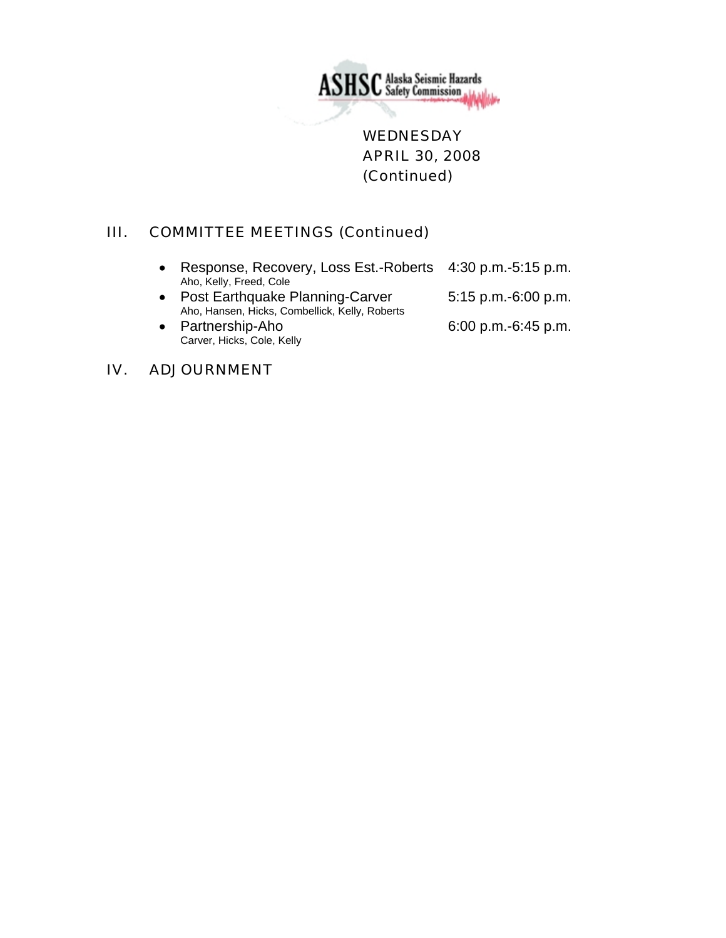

**WEDNESDAY** APRIL 30, 2008 (Continued)

## III. COMMITTEE MEETINGS (Continued)

| Response, Recovery, Loss Est.-Roberts 4:30 p.m.-5:15 p.m.<br>Aho, Kelly, Freed, Cole |                          |
|--------------------------------------------------------------------------------------|--------------------------|
| • Post Earthquake Planning-Carver<br>Aho, Hansen, Hicks, Combellick, Kelly, Roberts  | $5:15$ p.m.-6:00 p.m.    |
| Partnership-Aho<br>Carver, Hicks, Cole, Kelly                                        | $6:00$ p.m.- $6:45$ p.m. |

## IV. ADJOURNMENT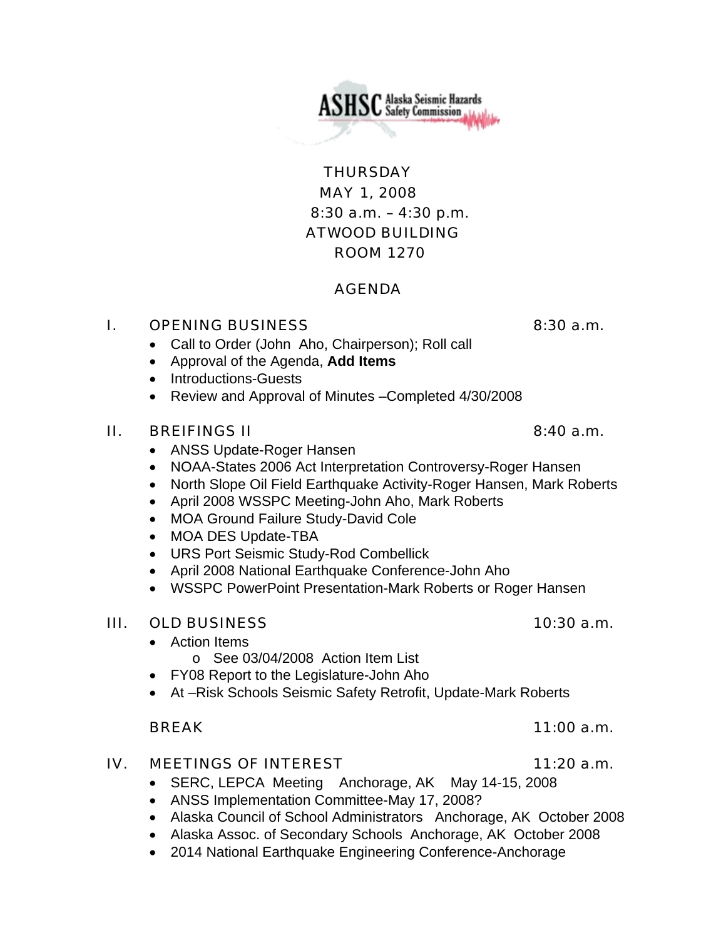MAY 1, 2008 8:30 a.m. – 4:30 p.m. ATWOOD BUILDING ROOM 1270

## AGENDA

### **I.** OPENING BUSINESS 8:30 a.m.

- Call to Order (John Aho, Chairperson); Roll call
- Approval of the Agenda, **Add Items**
- Introductions-Guests
- Review and Approval of Minutes –Completed 4/30/2008

## $II.$  BREIFINGS II 8:40 a.m.

- ANSS Update-Roger Hansen
- NOAA-States 2006 Act Interpretation Controversy-Roger Hansen
- North Slope Oil Field Earthquake Activity-Roger Hansen, Mark Roberts
- April 2008 WSSPC Meeting-John Aho, Mark Roberts
- MOA Ground Failure Study-David Cole
- MOA DES Update-TBA
- URS Port Seismic Study-Rod Combellick
- April 2008 National Earthquake Conference-John Aho
- WSSPC PowerPoint Presentation-Mark Roberts or Roger Hansen

### III. OLD BUSINESS 10:30 a.m.

- Action Items
	- o See 03/04/2008 Action Item List
- FY08 Report to the Legislature-John Aho
- At –Risk Schools Seismic Safety Retrofit, Update-Mark Roberts

### BREAK 11:00 a.m.

### IV. MEETINGS OF INTEREST 11:20 a.m.

- SERC, LEPCA Meeting Anchorage, AK May 14-15, 2008
- ANSS Implementation Committee-May 17, 2008?
- Alaska Council of School Administrators Anchorage, AK October 2008
- Alaska Assoc. of Secondary Schools Anchorage, AK October 2008
- 2014 National Earthquake Engineering Conference-Anchorage

**THURSDAY** 

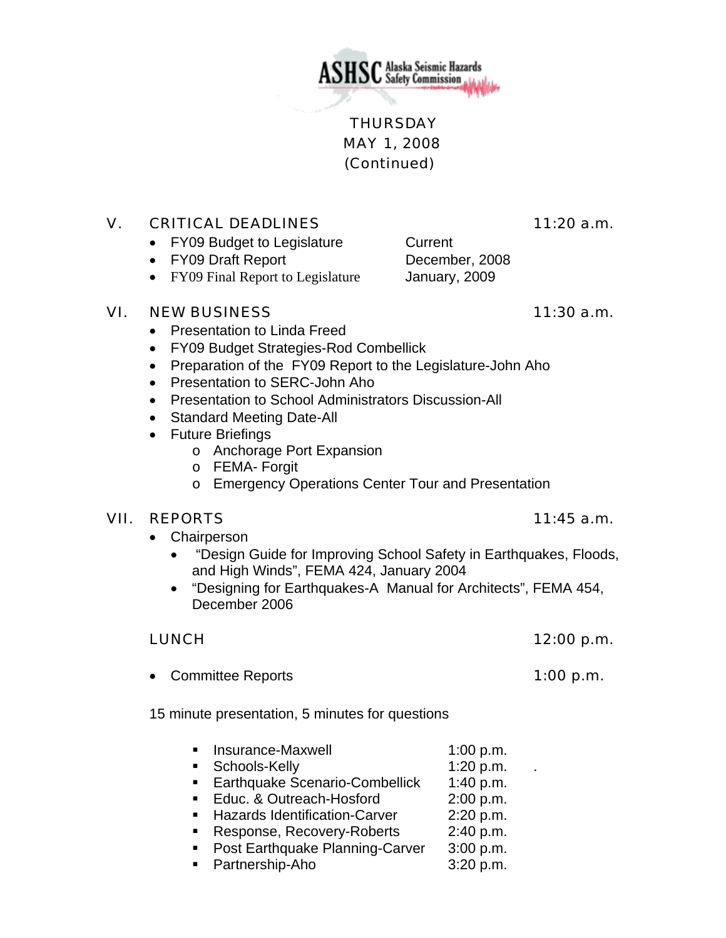

## **THURSDAY**  MAY 1, 2008 (Continued)

## V. CRITICAL DEADLINES 11:20 a.m.

- FY09 Budget to Legislature Current
- FY09 Draft Report December, 2008
- FY09 Final Report to Legislature January, 2009

## VI. NEW BUSINESS 11:30 a.m.

- Presentation to Linda Freed
- FY09 Budget Strategies-Rod Combellick
- Preparation of the FY09 Report to the Legislature-John Aho
- Presentation to SERC-John Aho
- Presentation to School Administrators Discussion-All
- Standard Meeting Date-All
- Future Briefings
	- o Anchorage Port Expansion
	- o FEMA- Forgit
	- o Emergency Operations Center Tour and Presentation

## VII. REPORTS 11:45 a.m.

- Chairperson
	- "Design Guide for Improving School Safety in Earthquakes, Floods, and High Winds", FEMA 424, January 2004
	- "Designing for Earthquakes-A Manual for Architects", FEMA 454, December 2006

## LUNCH 12:00 p.m.

• Committee Reports **1:00 p.m.** 

15 minute presentation, 5 minutes for questions

- **Insurance-Maxwell** 1:00 p.m.
- Schools-Kelly 1:20 p.m. .
- **Earthquake Scenario-Combellick** 1:40 p.m.
- Educ. & Outreach-Hosford 2:00 p.m.
- **Hazards Identification-Carver** 2:20 p.m.
- Response, Recovery-Roberts 2:40 p.m.
- **Post Earthquake Planning-Carver** 3:00 p.m.
- Partnership-Aho 3:20 p.m.